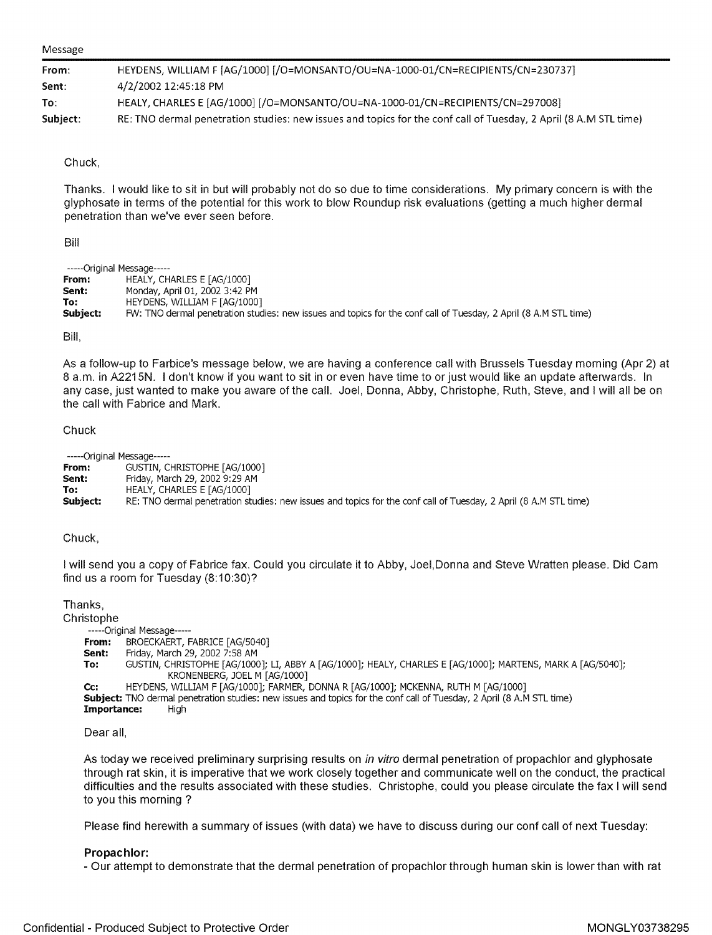#### Message

| From:    | HEYDENS, WILLIAM F [AG/1000] [/O=MONSANTO/OU=NA-1000-01/CN=RECIPIENTS/CN=230737]                                 |
|----------|------------------------------------------------------------------------------------------------------------------|
| Sent:    | 4/2/2002 12:45:18 PM                                                                                             |
| To:      | HEALY, CHARLES E [AG/1000] [/O=MONSANTO/OU=NA-1000-01/CN=RECIPIENTS/CN=297008]                                   |
| Subject: | RE: TNO dermal penetration studies: new issues and topics for the conf call of Tuesday, 2 April (8 A.M STL time) |

#### Chuck,

Thanks. I would like to sit in but will probably not do so due to time considerations. My primary concern is with the glyphosate in terms of the potential for this work to blow Roundup risk evaluations (getting a much higher dermal penetration than we've ever seen before.

Bill

|          | -----Original Message-----                                                                                       |
|----------|------------------------------------------------------------------------------------------------------------------|
| From:    | HEALY, CHARLES E [AG/1000]                                                                                       |
| Sent:    | Monday, April 01, 2002 3:42 PM                                                                                   |
| To:      | HEYDENS, WILLIAM F [AG/1000]                                                                                     |
| Subject: | FW: TNO dermal penetration studies: new issues and topics for the conf call of Tuesday, 2 April (8 A.M STL time) |
|          |                                                                                                                  |

Bill,

As a follow-up to Farbice's message below, we are having a conference call with Brussels Tuesday morning (Apr 2) at 8 a.m. in A2215N. I don't know if you want to sit in or even have time to or just would like an update afterwards. In any case, just wanted to make you aware of the call. Joel, Donna, Abby, Christophe, Ruth, Steve, and I will all be on the call with Fabrice and Mark.

#### Chuck

| -----Original Message----- |                                                                                                                  |
|----------------------------|------------------------------------------------------------------------------------------------------------------|
| From:                      | GUSTIN, CHRISTOPHE [AG/1000]                                                                                     |
| Sent:                      | Friday, March 29, 2002 9:29 AM                                                                                   |
| To:                        | HEALY, CHARLES E [AG/1000]                                                                                       |
| Subiect:                   | RE: TNO dermal penetration studies: new issues and topics for the conf call of Tuesday, 2 April (8 A.M STL time) |

Chuck,

I will send you a copy of Fabrice fax. Could you circulate it to Abby, Joel,Donna and Steve Wratten please. Did Cam find us a room for Tuesday (8:10:30)?

Thanks,

Christophe

-----Original Message-----

**From:** BROECKAERT, FABRICE [AG/5040]

**Sent:** Friday, March 29, 2002 7:58 AM

**To:** GUSTIN, CHRISTOPHE [AG/1000]; LI, ABBY A [AG/1000]; HEALY, CHARLES E [AG/1000]; MARTENS, MARK A [AG/5040]; KRONENBERG, JOEL M [AG/1000]

**Cc:** HEYDENS, WILLIAM F [AG/1000]; FARMER, DONNA R [AG/1000]; MCKENNA, RUTH M [AG/1000]

**Subject:** TNO dermal penetration studies: new issues and topics for the conf call of Tuesday, 2 April (8 A.M STL time) **Importance:** High

Dear all,

As today we received preliminary surprising results on in vitro dermal penetration of propachlor and glyphosate through rat skin, it is imperative that we work closely together and communicate well on the conduct, the practical difficulties and the results associated with these studies. Christophe, could you please circulate the fax I will send to you this morning ?

Please find herewith a summary of issues (with data) we have to discuss during our conf call of next Tuesday:

### **Propachlor:**

- Our attempt to demonstrate that the dermal penetration of propachlor through human skin is lower than with rat